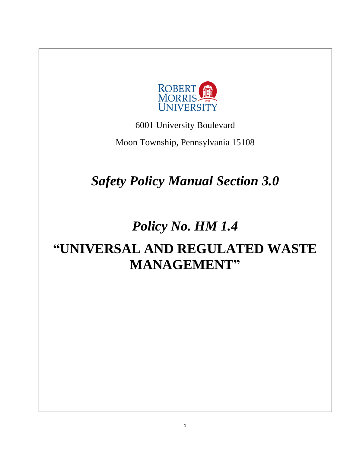

6001 University Boulevard

Moon Township, Pennsylvania 15108

*Safety Policy Manual Section 3.0*

# *Policy No. HM 1.4*

# **"UNIVERSAL AND REGULATED WASTE MANAGEMENT"**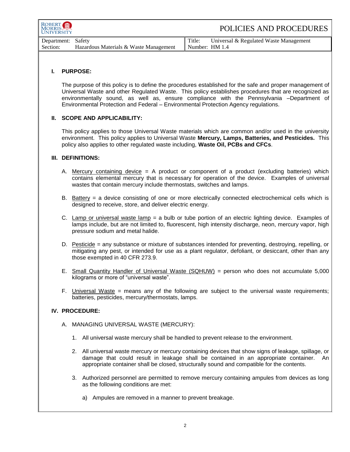| ROBERT <b>fil</b><br><b>IJNIVERSITY</b> |        | POLICIES AND PROCEDURES                   |
|-----------------------------------------|--------|-------------------------------------------|
| Department: Safety                      | Title: | Universal $\&$ Regulated Waste Management |

| Department: Safety |                                        | Title:         | Universal & Regulated Waste Management |
|--------------------|----------------------------------------|----------------|----------------------------------------|
| Section:           | Hazardous Materials & Waste Management | Number: HM 1.4 |                                        |
|                    |                                        |                |                                        |

### **I. PURPOSE:**

The purpose of this policy is to define the procedures established for the safe and proper management of Universal Waste and other Regulated Waste. This policy establishes procedures that are recognized as environmentally sound, as well as, ensure compliance with the Pennsylvania –Department of Environmental Protection and Federal – Environmental Protection Agency regulations.

#### **II. SCOPE AND APPLICABILITY:**

This policy applies to those Universal Waste materials which are common and/or used in the university environment. This policy applies to Universal Waste **Mercury, Lamps, Batteries, and Pesticides.** This policy also applies to other regulated waste including, **Waste Oil, PCBs and CFCs**.

#### **III. DEFINITIONS:**

- A. Mercury containing device  $=$  A product or component of a product (excluding batteries) which contains elemental mercury that is necessary for operation of the device. Examples of universal wastes that contain mercury include thermostats, switches and lamps.
- B. Battery = a device consisting of one or more electrically connected electrochemical cells which is designed to receive, store, and deliver electric energy.
- C. Lamp or universal waste lamp = a bulb or tube portion of an electric lighting device. Examples of lamps include, but are not limited to, fluorescent, high intensity discharge, neon, mercury vapor, high pressure sodium and metal halide.
- D. Pesticide = any substance or mixture of substances intended for preventing, destroying, repelling, or mitigating any pest, or intended for use as a plant regulator, defoliant, or desiccant, other than any those exempted in 40 CFR 273.9.
- E. Small Quantity Handler of Universal Waste (SQHUW) = person who does not accumulate 5,000 kilograms or more of "universal waste".
- F. Universal Waste = means any of the following are subject to the universal waste requirements; batteries, pesticides, mercury/thermostats, lamps.

#### **IV. PROCEDURE:**

- A. MANAGING UNIVERSAL WASTE (MERCURY):
	- 1. All universal waste mercury shall be handled to prevent release to the environment.
	- 2. All universal waste mercury or mercury containing devices that show signs of leakage, spillage, or damage that could result in leakage shall be contained in an appropriate container. An appropriate container shall be closed, structurally sound and compatible for the contents.
	- 3. Authorized personnel are permitted to remove mercury containing ampules from devices as long as the following conditions are met:
		- a) Ampules are removed in a manner to prevent breakage.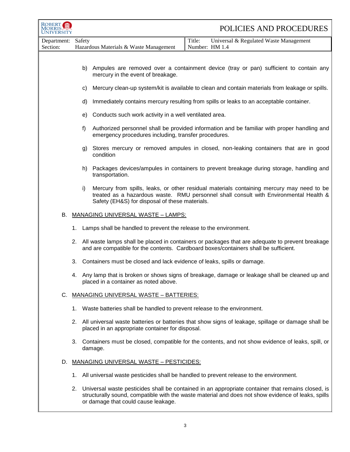| ROBERT<br><b>NIVERSITY</b> |        |                                                                                                                                                                                            | POLICIES AND PROCEDURES                                                                                                                                                                                    |
|----------------------------|--------|--------------------------------------------------------------------------------------------------------------------------------------------------------------------------------------------|------------------------------------------------------------------------------------------------------------------------------------------------------------------------------------------------------------|
| Department:<br>Section:    | Safety | Hazardous Materials & Waste Management                                                                                                                                                     | Title:<br>Universal & Regulated Waste Management<br>Number: HM 1.4                                                                                                                                         |
|                            |        |                                                                                                                                                                                            |                                                                                                                                                                                                            |
|                            |        | mercury in the event of breakage.                                                                                                                                                          | b) Ampules are removed over a containment device (tray or pan) sufficient to contain any                                                                                                                   |
|                            | C)     |                                                                                                                                                                                            | Mercury clean-up system/kit is available to clean and contain materials from leakage or spills.                                                                                                            |
|                            | d)     |                                                                                                                                                                                            | Immediately contains mercury resulting from spills or leaks to an acceptable container.                                                                                                                    |
|                            | e)     | Conducts such work activity in a well ventilated area.                                                                                                                                     |                                                                                                                                                                                                            |
|                            | f      | Authorized personnel shall be provided information and be familiar with proper handling and<br>emergency procedures including, transfer procedures.                                        |                                                                                                                                                                                                            |
|                            | g)     | condition                                                                                                                                                                                  | Stores mercury or removed ampules in closed, non-leaking containers that are in good                                                                                                                       |
|                            | h)     | transportation.                                                                                                                                                                            | Packages devices/ampules in containers to prevent breakage during storage, handling and                                                                                                                    |
|                            | i)     | Safety (EH&S) for disposal of these materials.                                                                                                                                             | Mercury from spills, leaks, or other residual materials containing mercury may need to be<br>treated as a hazardous waste. RMU personnel shall consult with Environmental Health &                         |
| В.                         |        | <b>MANAGING UNIVERSAL WASTE - LAMPS:</b>                                                                                                                                                   |                                                                                                                                                                                                            |
|                            |        | 1. Lamps shall be handled to prevent the release to the environment.                                                                                                                       |                                                                                                                                                                                                            |
|                            |        | 2. All waste lamps shall be placed in containers or packages that are adequate to prevent breakage<br>and are compatible for the contents. Cardboard boxes/containers shall be sufficient. |                                                                                                                                                                                                            |
|                            |        | 3. Containers must be closed and lack evidence of leaks, spills or damage.                                                                                                                 |                                                                                                                                                                                                            |
|                            |        | placed in a container as noted above.                                                                                                                                                      | 4. Any lamp that is broken or shows signs of breakage, damage or leakage shall be cleaned up and                                                                                                           |
| C.                         |        | MANAGING UNIVERSAL WASTE - BATTERIES:                                                                                                                                                      |                                                                                                                                                                                                            |
|                            |        | 1. Waste batteries shall be handled to prevent release to the environment.                                                                                                                 |                                                                                                                                                                                                            |
|                            |        | placed in an appropriate container for disposal.                                                                                                                                           | 2. All universal waste batteries or batteries that show signs of leakage, spillage or damage shall be                                                                                                      |
|                            |        | damage.                                                                                                                                                                                    | 3. Containers must be closed, compatible for the contents, and not show evidence of leaks, spill, or                                                                                                       |
| D.                         |        | <b>MANAGING UNIVERSAL WASTE - PESTICIDES:</b>                                                                                                                                              |                                                                                                                                                                                                            |
|                            |        |                                                                                                                                                                                            | 1. All universal waste pesticides shall be handled to prevent release to the environment.                                                                                                                  |
|                            |        | or damage that could cause leakage.                                                                                                                                                        | 2. Universal waste pesticides shall be contained in an appropriate container that remains closed, is<br>structurally sound, compatible with the waste material and does not show evidence of leaks, spills |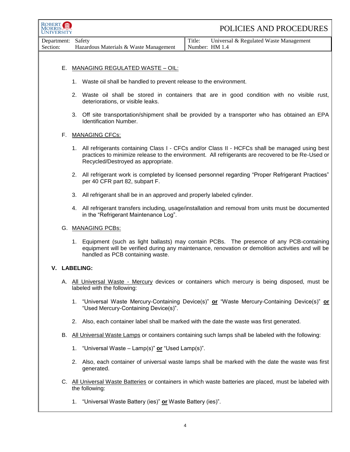| <b>ROBERT</b><br>UNIVERSITY | POLICIES AND PROCEDURES                                                                                                                                                                                                                      |  |
|-----------------------------|----------------------------------------------------------------------------------------------------------------------------------------------------------------------------------------------------------------------------------------------|--|
| Department:<br>Section:     | Safety<br>Title:<br>Universal & Regulated Waste Management<br>Hazardous Materials & Waste Management<br>Number: HM 1.4                                                                                                                       |  |
| Е.                          | <b>MANAGING REGULATED WASTE - OIL:</b>                                                                                                                                                                                                       |  |
|                             | 1. Waste oil shall be handled to prevent release to the environment.                                                                                                                                                                         |  |
|                             | 2. Waste oil shall be stored in containers that are in good condition with no visible rust,<br>deteriorations, or visible leaks.                                                                                                             |  |
|                             | 3. Off site transportation/shipment shall be provided by a transporter who has obtained an EPA<br>Identification Number.                                                                                                                     |  |
| F.                          | <b>MANAGING CFCs:</b>                                                                                                                                                                                                                        |  |
|                             | 1. All refrigerants containing Class I - CFCs and/or Class II - HCFCs shall be managed using best<br>practices to minimize release to the environment. All refrigerants are recovered to be Re-Used or<br>Recycled/Destroyed as appropriate. |  |
|                             | 2. All refrigerant work is completed by licensed personnel regarding "Proper Refrigerant Practices"<br>per 40 CFR part 82, subpart F.                                                                                                        |  |
|                             | All refrigerant shall be in an approved and properly labeled cylinder.<br>3.                                                                                                                                                                 |  |
|                             | 4. All refrigerant transfers including, usage/installation and removal from units must be documented<br>in the "Refrigerant Maintenance Log".                                                                                                |  |
|                             | G. MANAGING PCBs:                                                                                                                                                                                                                            |  |
|                             | Equipment (such as light ballasts) may contain PCBs. The presence of any PCB-containing<br>1.<br>equipment will be verified during any maintenance, renovation or demolition activities and will be<br>handled as PCB containing waste.      |  |
|                             | V. LABELING:                                                                                                                                                                                                                                 |  |
|                             | A. All Universal Waste - Mercury devices or containers which mercury is being disposed, must be<br>labeled with the following:                                                                                                               |  |
|                             | "Universal Waste Mercury-Containing Device(s)" or "Waste Mercury-Containing Device(s)" or<br>1.<br>"Used Mercury-Containing Device(s)".                                                                                                      |  |
|                             | 2. Also, each container label shall be marked with the date the waste was first generated.                                                                                                                                                   |  |
| В.                          | All Universal Waste Lamps or containers containing such lamps shall be labeled with the following:                                                                                                                                           |  |
|                             | 1. "Universal Waste - Lamp(s)" or "Used Lamp(s)".                                                                                                                                                                                            |  |
|                             | 2. Also, each container of universal waste lamps shall be marked with the date the waste was first<br>generated.                                                                                                                             |  |
|                             | C. All Universal Waste Batteries or containers in which waste batteries are placed, must be labeled with<br>the following:                                                                                                                   |  |
|                             | "Universal Waste Battery (ies)" or Waste Battery (ies)".<br>1.                                                                                                                                                                               |  |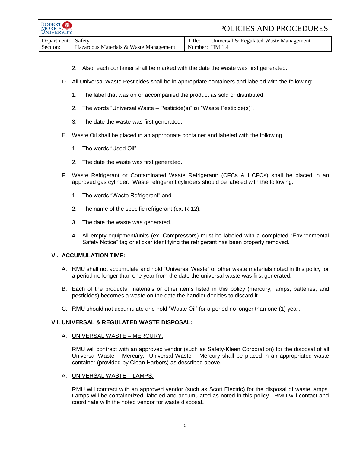| <b>ROBERT</b>           | POLICIES AND PROCEDURES                                                                                                                                                                                                                                            |  |
|-------------------------|--------------------------------------------------------------------------------------------------------------------------------------------------------------------------------------------------------------------------------------------------------------------|--|
| Department:<br>Section: | Universal & Regulated Waste Management<br>Title:<br>Safety<br>Hazardous Materials & Waste Management<br>Number: HM 1.4                                                                                                                                             |  |
|                         |                                                                                                                                                                                                                                                                    |  |
|                         | 2. Also, each container shall be marked with the date the waste was first generated.                                                                                                                                                                               |  |
|                         | D. All Universal Waste Pesticides shall be in appropriate containers and labeled with the following:                                                                                                                                                               |  |
|                         | The label that was on or accompanied the product as sold or distributed.<br>1.                                                                                                                                                                                     |  |
|                         | The words "Universal Waste – Pesticide(s)" or "Waste Pesticide(s)".<br>2.                                                                                                                                                                                          |  |
|                         | 3.<br>The date the waste was first generated.                                                                                                                                                                                                                      |  |
|                         | E. Waste Oil shall be placed in an appropriate container and labeled with the following.                                                                                                                                                                           |  |
|                         | The words "Used Oil".<br>1.                                                                                                                                                                                                                                        |  |
|                         | The date the waste was first generated.<br>2.                                                                                                                                                                                                                      |  |
|                         | F. Waste Refrigerant or Contaminated Waste Refrigerant: (CFCs & HCFCs) shall be placed in an<br>approved gas cylinder. Waste refrigerant cylinders should be labeled with the following:                                                                           |  |
|                         | The words "Waste Refrigerant" and<br>1.                                                                                                                                                                                                                            |  |
|                         | The name of the specific refrigerant (ex. R-12).<br>2.                                                                                                                                                                                                             |  |
|                         | 3.<br>The date the waste was generated.                                                                                                                                                                                                                            |  |
|                         | 4. All empty equipment/units (ex. Compressors) must be labeled with a completed "Environmental<br>Safety Notice" tag or sticker identifying the refrigerant has been properly removed.                                                                             |  |
|                         | <b>VI. ACCUMULATION TIME:</b>                                                                                                                                                                                                                                      |  |
|                         | A. RMU shall not accumulate and hold "Universal Waste" or other waste materials noted in this policy for<br>a period no longer than one year from the date the universal waste was first generated.                                                                |  |
|                         | B. Each of the products, materials or other items listed in this policy (mercury, lamps, batteries, and<br>pesticides) becomes a waste on the date the handler decides to discard it.                                                                              |  |
|                         | C. RMU should not accumulate and hold "Waste Oil" for a period no longer than one (1) year.                                                                                                                                                                        |  |
|                         | VII. UNIVERSAL & REGULATED WASTE DISPOSAL:                                                                                                                                                                                                                         |  |
|                         | A. UNIVERSAL WASTE - MERCURY:                                                                                                                                                                                                                                      |  |
|                         | RMU will contract with an approved vendor (such as Safety-Kleen Corporation) for the disposal of all<br>Universal Waste - Mercury. Universal Waste - Mercury shall be placed in an appropriated waste<br>container (provided by Clean Harbors) as described above. |  |
|                         | A. UNIVERSAL WASTE - LAMPS:                                                                                                                                                                                                                                        |  |
|                         | RMU will contract with an approved vendor (such as Scott Electric) for the disposal of waste lamps.<br>Lamps will be containerized, labeled and accumulated as noted in this policy. RMU will contact and<br>coordinate with the noted vendor for waste disposal.  |  |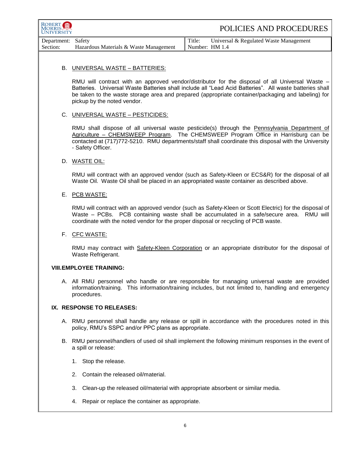| ROBERT<br>MORRIS.<br>VERSITY |                                                                                                                                                                                                                                                                                                                                                 | POLICIES AND PROCEDURES                                                                                                                                                                                                                                                                    |  |
|------------------------------|-------------------------------------------------------------------------------------------------------------------------------------------------------------------------------------------------------------------------------------------------------------------------------------------------------------------------------------------------|--------------------------------------------------------------------------------------------------------------------------------------------------------------------------------------------------------------------------------------------------------------------------------------------|--|
| Department:<br>Section:      | Safety<br>Hazardous Materials & Waste Management                                                                                                                                                                                                                                                                                                | Title:<br>Universal & Regulated Waste Management<br>Number: HM 1.4                                                                                                                                                                                                                         |  |
|                              |                                                                                                                                                                                                                                                                                                                                                 |                                                                                                                                                                                                                                                                                            |  |
|                              | B. UNIVERSAL WASTE - BATTERIES:                                                                                                                                                                                                                                                                                                                 |                                                                                                                                                                                                                                                                                            |  |
|                              | RMU will contract with an approved vendor/distributor for the disposal of all Universal Waste –<br>Batteries. Universal Waste Batteries shall include all "Lead Acid Batteries". All waste batteries shall<br>be taken to the waste storage area and prepared (appropriate container/packaging and labeling) for<br>pickup by the noted vendor. |                                                                                                                                                                                                                                                                                            |  |
|                              | C. UNIVERSAL WASTE - PESTICIDES:                                                                                                                                                                                                                                                                                                                |                                                                                                                                                                                                                                                                                            |  |
|                              | - Safety Officer.                                                                                                                                                                                                                                                                                                                               | RMU shall dispose of all universal waste pesticide(s) through the Pennsylvania Department of<br>Agriculture - CHEMSWEEP Program. The CHEMSWEEP Program Office in Harrisburg can be<br>contacted at (717)772-5210. RMU departments/staff shall coordinate this disposal with the University |  |
|                              | D. WASTE OIL:                                                                                                                                                                                                                                                                                                                                   |                                                                                                                                                                                                                                                                                            |  |
|                              |                                                                                                                                                                                                                                                                                                                                                 | RMU will contract with an approved vendor (such as Safety-Kleen or ECS&R) for the disposal of all<br>Waste Oil. Waste Oil shall be placed in an appropriated waste container as described above.                                                                                           |  |
|                              | E. PCB WASTE:                                                                                                                                                                                                                                                                                                                                   |                                                                                                                                                                                                                                                                                            |  |
|                              | coordinate with the noted vendor for the proper disposal or recycling of PCB waste.                                                                                                                                                                                                                                                             | RMU will contract with an approved vendor (such as Safety-Kleen or Scott Electric) for the disposal of<br>Waste - PCBs. PCB containing waste shall be accumulated in a safe/secure area. RMU will                                                                                          |  |
|                              | F. CFC WASTE:                                                                                                                                                                                                                                                                                                                                   |                                                                                                                                                                                                                                                                                            |  |
|                              | Waste Refrigerant.                                                                                                                                                                                                                                                                                                                              | RMU may contract with Safety-Kleen Corporation or an appropriate distributor for the disposal of                                                                                                                                                                                           |  |
|                              | <b>VIII.EMPLOYEE TRAINING:</b>                                                                                                                                                                                                                                                                                                                  |                                                                                                                                                                                                                                                                                            |  |
|                              | procedures.                                                                                                                                                                                                                                                                                                                                     | A. All RMU personnel who handle or are responsible for managing universal waste are provided<br>information/training. This information/training includes, but not limited to, handling and emergency                                                                                       |  |
| IX. RESPONSE TO RELEASES:    |                                                                                                                                                                                                                                                                                                                                                 |                                                                                                                                                                                                                                                                                            |  |
|                              | policy, RMU's SSPC and/or PPC plans as appropriate.                                                                                                                                                                                                                                                                                             | A. RMU personnel shall handle any release or spill in accordance with the procedures noted in this                                                                                                                                                                                         |  |
|                              | a spill or release:                                                                                                                                                                                                                                                                                                                             | B. RMU personnel/handlers of used oil shall implement the following minimum responses in the event of                                                                                                                                                                                      |  |
|                              | Stop the release.<br>1.                                                                                                                                                                                                                                                                                                                         |                                                                                                                                                                                                                                                                                            |  |
|                              | Contain the released oil/material.<br>2.                                                                                                                                                                                                                                                                                                        |                                                                                                                                                                                                                                                                                            |  |
|                              | Clean-up the released oil/material with appropriate absorbent or similar media.<br>З.                                                                                                                                                                                                                                                           |                                                                                                                                                                                                                                                                                            |  |
|                              | Repair or replace the container as appropriate.<br>4.                                                                                                                                                                                                                                                                                           |                                                                                                                                                                                                                                                                                            |  |

٦